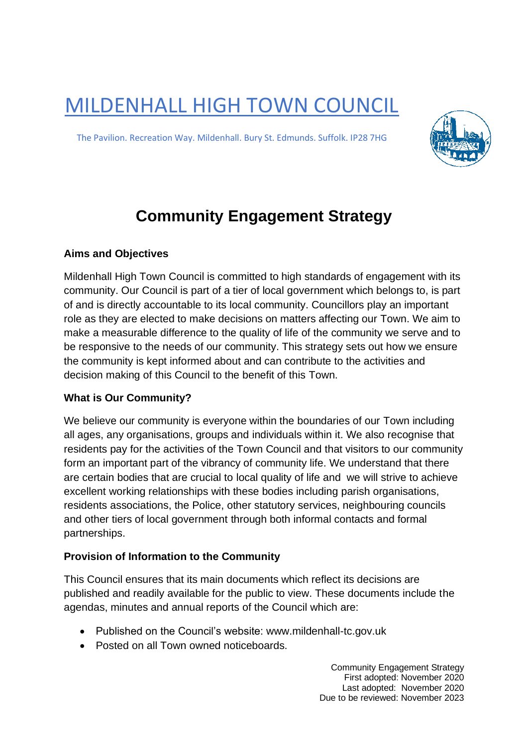MILDENHALL HIGH TOWN COUNCIL

The Pavilion. Recreation Way. Mildenhall. Bury St. Edmunds. Suffolk. IP28 7HG



# **Community Engagement Strategy**

## **Aims and Objectives**

Mildenhall High Town Council is committed to high standards of engagement with its community. Our Council is part of a tier of local government which belongs to, is part of and is directly accountable to its local community. Councillors play an important role as they are elected to make decisions on matters affecting our Town. We aim to make a measurable difference to the quality of life of the community we serve and to be responsive to the needs of our community. This strategy sets out how we ensure the community is kept informed about and can contribute to the activities and decision making of this Council to the benefit of this Town.

# **What is Our Community?**

We believe our community is everyone within the boundaries of our Town including all ages, any organisations, groups and individuals within it. We also recognise that residents pay for the activities of the Town Council and that visitors to our community form an important part of the vibrancy of community life. We understand that there are certain bodies that are crucial to local quality of life and we will strive to achieve excellent working relationships with these bodies including parish organisations, residents associations, the Police, other statutory services, neighbouring councils and other tiers of local government through both informal contacts and formal partnerships.

# **Provision of Information to the Community**

This Council ensures that its main documents which reflect its decisions are published and readily available for the public to view. These documents include the agendas, minutes and annual reports of the Council which are:

- Published on the Council's website: www.mildenhall-tc.gov.uk
- Posted on all Town owned noticeboards.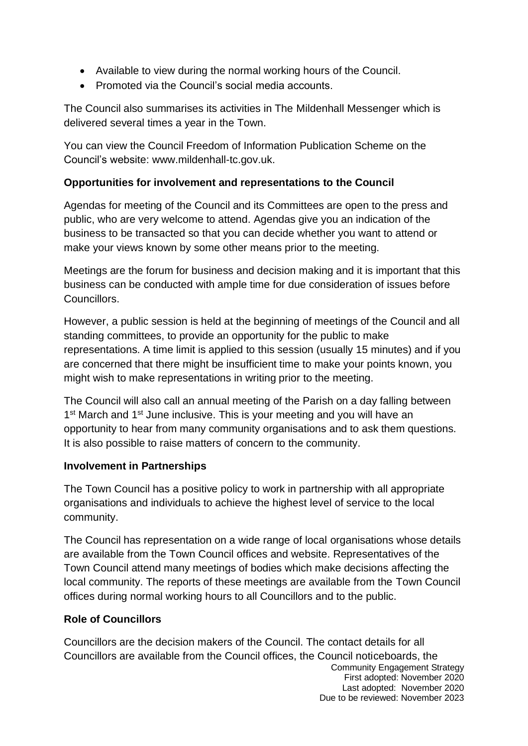- Available to view during the normal working hours of the Council.
- Promoted via the Council's social media accounts.

The Council also summarises its activities in The Mildenhall Messenger which is delivered several times a year in the Town.

You can view the Council Freedom of Information Publication Scheme on the Council's website: www.mildenhall-tc.gov.uk.

## **Opportunities for involvement and representations to the Council**

Agendas for meeting of the Council and its Committees are open to the press and public, who are very welcome to attend. Agendas give you an indication of the business to be transacted so that you can decide whether you want to attend or make your views known by some other means prior to the meeting.

Meetings are the forum for business and decision making and it is important that this business can be conducted with ample time for due consideration of issues before Councillors.

However, a public session is held at the beginning of meetings of the Council and all standing committees, to provide an opportunity for the public to make representations. A time limit is applied to this session (usually 15 minutes) and if you are concerned that there might be insufficient time to make your points known, you might wish to make representations in writing prior to the meeting.

The Council will also call an annual meeting of the Parish on a day falling between 1<sup>st</sup> March and 1<sup>st</sup> June inclusive. This is your meeting and you will have an opportunity to hear from many community organisations and to ask them questions. It is also possible to raise matters of concern to the community.

## **Involvement in Partnerships**

The Town Council has a positive policy to work in partnership with all appropriate organisations and individuals to achieve the highest level of service to the local community.

The Council has representation on a wide range of local organisations whose details are available from the Town Council offices and website. Representatives of the Town Council attend many meetings of bodies which make decisions affecting the local community. The reports of these meetings are available from the Town Council offices during normal working hours to all Councillors and to the public.

## **Role of Councillors**

Community Engagement Strategy First adopted: November 2020 Last adopted: November 2020 Councillors are the decision makers of the Council. The contact details for all Councillors are available from the Council offices, the Council noticeboards, the

Due to be reviewed: November 2023